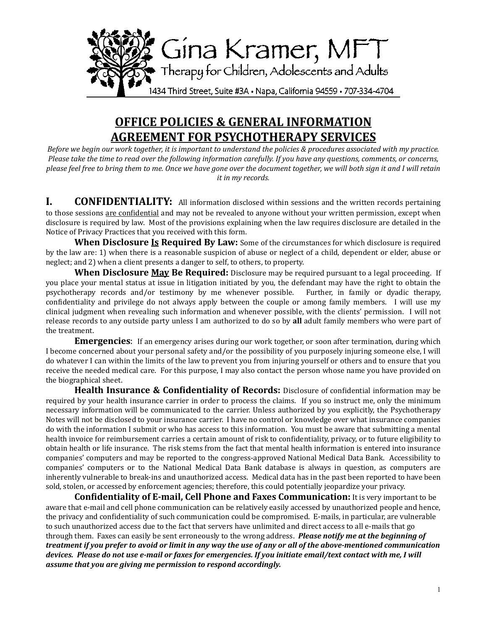

## **OFFICE POLICIES & GENERAL INFORMATION AGREEMENT FOR PSYCHOTHERAPY SERVICES**

*Before* we begin our work together, it is important to understand the policies & procedures associated with my practice. *Please take the time to read over the following information carefully. If you have any questions, comments, or concerns,* please feel free to bring them to me. Once we have gone over the document together, we will both sign it and I will retain *it in my records.* 

**I. CONFIDENTIALITY:** All information disclosed within sessions and the written records pertaining to those sessions are confidential and may not be revealed to anyone without your written permission, except when disclosure is required by law. Most of the provisions explaining when the law requires disclosure are detailed in the Notice of Privacy Practices that you received with this form.

**When Disclosure Is Required By Law:** Some of the circumstances for which disclosure is required by the law are: 1) when there is a reasonable suspicion of abuse or neglect of a child, dependent or elder, abuse or neglect; and 2) when a client presents a danger to self, to others, to property.

**When Disclosure May Be Required:** Disclosure may be required pursuant to a legal proceeding. If you place your mental status at issue in litigation initiated by you, the defendant may have the right to obtain the psychotherapy records and/or testimony by me whenever possible. Further, in family or dyadic therapy, confidentiality and privilege do not always apply between the couple or among family members. I will use my clinical judgment when revealing such information and whenever possible, with the clients' permission. I will not release records to any outside party unless I am authorized to do so by all adult family members who were part of the treatment.

**Emergencies:** If an emergency arises during our work together, or soon after termination, during which I become concerned about your personal safety and/or the possibility of you purposely injuring someone else, I will do whatever I can within the limits of the law to prevent you from injuring yourself or others and to ensure that you receive the needed medical care. For this purpose, I may also contact the person whose name you have provided on the biographical sheet.

**Health Insurance & Confidentiality of Records:** Disclosure of confidential information may be required by your health insurance carrier in order to process the claims. If you so instruct me, only the minimum necessary information will be communicated to the carrier. Unless authorized by you explicitly, the Psychotherapy Notes will not be disclosed to your insurance carrier. I have no control or knowledge over what insurance companies do with the information I submit or who has access to this information. You must be aware that submitting a mental health invoice for reimbursement carries a certain amount of risk to confidentiality, privacy, or to future eligibility to obtain health or life insurance. The risk stems from the fact that mental health information is entered into insurance companies' computers and may be reported to the congress-approved National Medical Data Bank. Accessibility to companies' computers or to the National Medical Data Bank database is always in question, as computers are inherently vulnerable to break-ins and unauthorized access. Medical data has in the past been reported to have been sold, stolen, or accessed by enforcement agencies; therefore, this could potentially jeopardize your privacy.

**Confidentiality of E-mail, Cell Phone and Faxes Communication:** It is very important to be aware that e-mail and cell phone communication can be relatively easily accessed by unauthorized people and hence, the privacy and confidentiality of such communication could be compromised. E-mails, in particular, are vulnerable to such unauthorized access due to the fact that servers have unlimited and direct access to all e-mails that go through them. Faxes can easily be sent erroneously to the wrong address. *Please notify me at the beginning of treatment if you prefer to avoid or limit in any way the use of any or all of the above-mentioned communication devices.* Please do not use e-mail or faxes for emergencies. If you initiate email/text contact with me, I will assume that you are giving me permission to respond accordingly.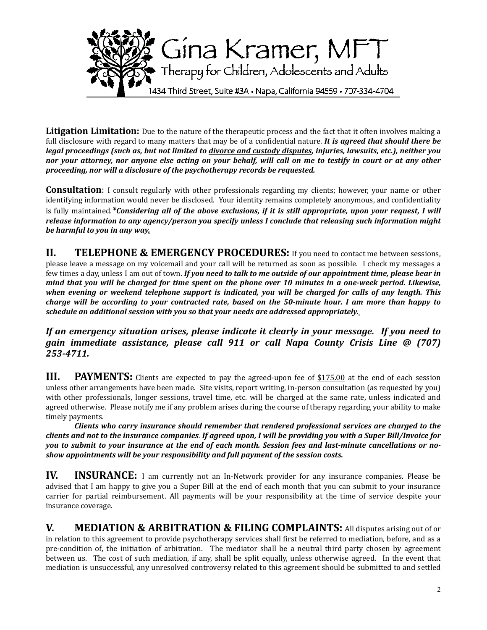

**Litigation Limitation:** Due to the nature of the therapeutic process and the fact that it often involves making a full disclosure with regard to many matters that may be of a confidential nature. *It is gareed that should there be legal proceedings (such as, but not limited to divorce and custody disputes, injuries, lawsuits, etc.), neither you nor your attorney, nor anyone else acting on your behalf, will call on me to testify in court or at any other* proceeding, nor will a disclosure of the psychotherapy records be requested.

**Consultation**: I consult regularly with other professionals regarding my clients; however, your name or other identifying information would never be disclosed. Your identity remains completely anonymous, and confidentiality is fully maintained.\*Considering all of the above exclusions, if it is still appropriate, upon your request, I will *release information to any agency/person you specify unless I conclude that releasing such information might be harmful to you in any way.* 

**II.** TELEPHONE & EMERGENCY PROCEDURES: If you need to contact me between sessions, please leave a message on my voicemail and your call will be returned as soon as possible. I check my messages a few times a day, unless I am out of town. If you need to talk to me outside of our appointment time, please bear in *mind that you will be charged for time spent on the phone over 10 minutes in a one-week period. Likewise,* when evening or weekend telephone support is indicated, you will be charged for calls of any length. This *charge* will be according to your contracted rate, based on the 50-minute hour. I am more than happy to *schedule an additional session with you so that your needs are addressed appropriately.* 

*If* an emergency situation arises, please indicate it clearly in your message. If you need to *gain immediate assistance, please call 911 or call Napa County Crisis Line @ (707) 253-4711.* 

**III.** PAYMENTS: Clients are expected to pay the agreed-upon fee of \$175.00 at the end of each session unless other arrangements have been made. Site visits, report writing, in-person consultation (as requested by you) with other professionals, longer sessions, travel time, etc. will be charged at the same rate, unless indicated and agreed otherwise. Please notify me if any problem arises during the course of therapy regarding your ability to make timely payments.

*Clients* who carry insurance should remember that rendered professional services are charged to the *clients and not to the insurance companies. If agreed upon, I will be providing you with a Super Bill/Invoice for* you to submit to your insurance at the end of each month. Session fees and last-minute cancellations or noshow appointments will be your responsibility and full payment of the session costs.

**IV.** INSURANCE: I am currently not an In-Network provider for any insurance companies. Please be advised that I am happy to give you a Super Bill at the end of each month that you can submit to your insurance carrier for partial reimbursement. All payments will be your responsibility at the time of service despite your insurance coverage.

**V.** MEDIATION & ARBITRATION & FILING COMPLAINTS: All disputes arising out of or in relation to this agreement to provide psychotherapy services shall first be referred to mediation, before, and as a pre-condition of, the initiation of arbitration. The mediator shall be a neutral third party chosen by agreement between us. The cost of such mediation, if any, shall be split equally, unless otherwise agreed. In the event that mediation is unsuccessful, any unresolved controversy related to this agreement should be submitted to and settled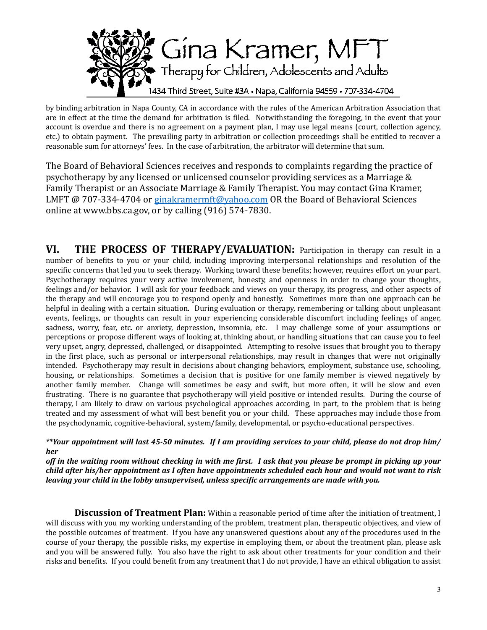

by binding arbitration in Napa County, CA in accordance with the rules of the American Arbitration Association that are in effect at the time the demand for arbitration is filed. Notwithstanding the foregoing, in the event that your account is overdue and there is no agreement on a payment plan, I may use legal means (court, collection agency, etc.) to obtain payment. The prevailing party in arbitration or collection proceedings shall be entitled to recover a reasonable sum for attorneys' fees. In the case of arbitration, the arbitrator will determine that sum.

The Board of Behavioral Sciences receives and responds to complaints regarding the practice of psychotherapy by any licensed or unlicensed counselor providing services as a Marriage & Family Therapist or an Associate Marriage & Family Therapist. You may contact Gina Kramer, LMFT @ 707-334-4704 or ginakramermft@yahoo.com OR the Board of Behavioral Sciences online at www.bbs.ca.gov, or by calling  $(916)$  574-7830.

**VI.** THE PROCESS OF THERAPY/EVALUATION: Participation in therapy can result in a number of benefits to vou or vour child, including improving interpersonal relationships and resolution of the specific concerns that led you to seek therapy. Working toward these benefits; however, requires effort on your part. Psychotherapy requires your very active involvement, honesty, and openness in order to change your thoughts, feelings and/or behavior. I will ask for your feedback and views on your therapy, its progress, and other aspects of the therapy and will encourage you to respond openly and honestly. Sometimes more than one approach can be helpful in dealing with a certain situation. During evaluation or therapy, remembering or talking about unpleasant events, feelings, or thoughts can result in your experiencing considerable discomfort including feelings of anger, sadness, worry, fear, etc. or anxiety, depression, insomnia, etc. I may challenge some of your assumptions or perceptions or propose different ways of looking at, thinking about, or handling situations that can cause you to feel very upset, angry, depressed, challenged, or disappointed. Attempting to resolve issues that brought you to therapy in the first place, such as personal or interpersonal relationships, may result in changes that were not originally intended. Psychotherapy may result in decisions about changing behaviors, employment, substance use, schooling, housing, or relationships. Sometimes a decision that is positive for one family member is viewed negatively by another family member. Change will sometimes be easy and swift, but more often, it will be slow and even frustrating. There is no guarantee that psychotherapy will yield positive or intended results. During the course of therapy, I am likely to draw on various psychological approaches according, in part, to the problem that is being treated and my assessment of what will best benefit you or your child. These approaches may include those from the psychodynamic, cognitive-behavioral, system/family, developmental, or psycho-educational perspectives.

*\*\*Your appointment will last 45-50 minutes. If I am providing services to your child, please do not drop him/ her* 

*off* in the waiting room without checking in with me first. I ask that you please be prompt in picking up your *child after his/her appointment as I often have appointments scheduled each hour and would not want to risk leaving your child in the lobby unsupervised, unless specific arrangements are made with you.* 

**Discussion of Treatment Plan:** Within a reasonable period of time after the initiation of treatment, I will discuss with you my working understanding of the problem, treatment plan, therapeutic objectives, and view of the possible outcomes of treatment. If you have any unanswered questions about any of the procedures used in the course of your therapy, the possible risks, my expertise in employing them, or about the treatment plan, please ask and you will be answered fully. You also have the right to ask about other treatments for your condition and their risks and benefits. If you could benefit from any treatment that I do not provide, I have an ethical obligation to assist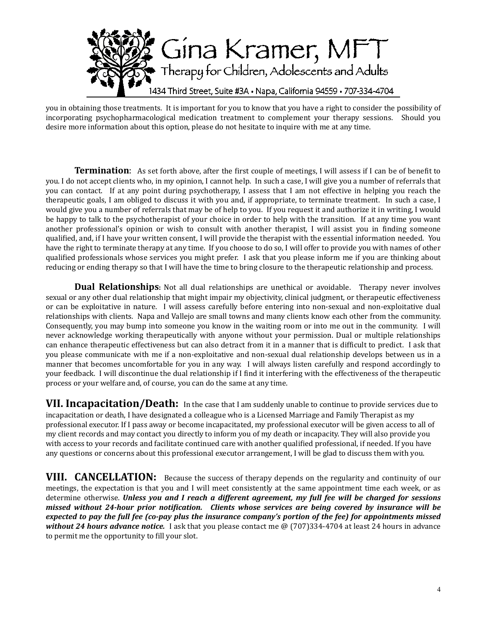

you in obtaining those treatments. It is important for you to know that you have a right to consider the possibility of incorporating psychopharmacological medication treatment to complement your therapy sessions. Should you desire more information about this option, please do not hesitate to inquire with me at any time.

**Termination**: As set forth above, after the first couple of meetings, I will assess if I can be of benefit to you. I do not accept clients who, in my opinion, I cannot help. In such a case, I will give you a number of referrals that you can contact. If at any point during psychotherapy, I assess that I am not effective in helping you reach the therapeutic goals, I am obliged to discuss it with you and, if appropriate, to terminate treatment. In such a case, I would give you a number of referrals that may be of help to you. If you request it and authorize it in writing, I would be happy to talk to the psychotherapist of your choice in order to help with the transition. If at any time you want another professional's opinion or wish to consult with another therapist. I will assist you in finding someone qualified, and, if I have your written consent, I will provide the therapist with the essential information needed. You have the right to terminate therapy at any time. If you choose to do so, I will offer to provide you with names of other qualified professionals whose services you might prefer. I ask that you please inform me if you are thinking about reducing or ending therapy so that I will have the time to bring closure to the therapeutic relationship and process.

**Dual Relationships:** Not all dual relationships are unethical or avoidable. Therapy never involves sexual or any other dual relationship that might impair my objectivity, clinical judgment, or therapeutic effectiveness or can be exploitative in nature. I will assess carefully before entering into non-sexual and non-exploitative dual relationships with clients. Napa and Vallejo are small towns and many clients know each other from the community. Consequently, you may bump into someone you know in the waiting room or into me out in the community. I will never acknowledge working therapeutically with anyone without your permission. Dual or multiple relationships can enhance therapeutic effectiveness but can also detract from it in a manner that is difficult to predict. I ask that you please communicate with me if a non-exploitative and non-sexual dual relationship develops between us in a manner that becomes uncomfortable for you in any way. I will always listen carefully and respond accordingly to your feedback. I will discontinue the dual relationship if I find it interfering with the effectiveness of the therapeutic process or your welfare and, of course, you can do the same at any time.

**VII. Incapacitation/Death:** In the case that I am suddenly unable to continue to provide services due to incapacitation or death, I have designated a colleague who is a Licensed Marriage and Family Therapist as my professional executor. If I pass away or become incapacitated, my professional executor will be given access to all of my client records and may contact you directly to inform you of my death or incapacity. They will also provide you with access to your records and facilitate continued care with another qualified professional, if needed. If you have any questions or concerns about this professional executor arrangement, I will be glad to discuss them with you.

**VIII. CANCELLATION:** Because the success of therapy depends on the regularity and continuity of our meetings, the expectation is that you and I will meet consistently at the same appointment time each week, or as determine otherwise. *Unless you and I reach a different agreement, my full fee will be charged for sessions missed without 24-hour prior notification.* Clients whose services are being covered by insurance will be *expected to pay the full fee (co-pay plus the insurance company's portion of the fee) for appointments missed* without 24 hours advance notice. I ask that you please contact me @ (707)334-4704 at least 24 hours in advance to permit me the opportunity to fill your slot.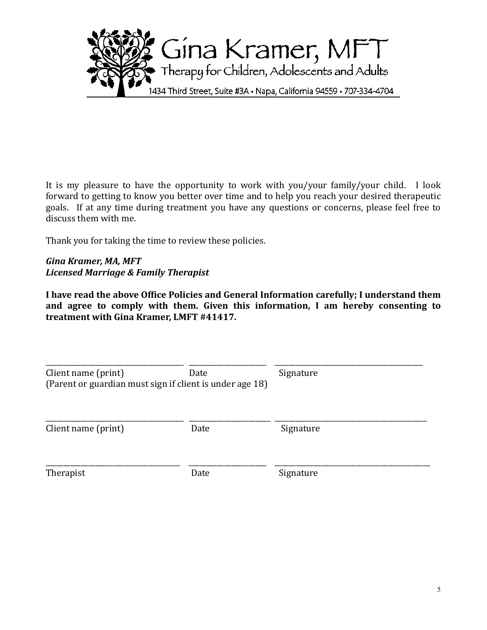

It is my pleasure to have the opportunity to work with you/your family/your child. I look forward to getting to know you better over time and to help you reach your desired therapeutic goals. If at any time during treatment you have any questions or concerns, please feel free to discuss them with me.

Thank you for taking the time to review these policies.

## *Gina Kramer, MA, MFT Licensed Marriage & Family Therapist*

I have read the above Office Policies and General Information carefully; I understand them and agree to comply with them. Given this information, I am hereby consenting to treatment with Gina Kramer, LMFT #41417.

| Client name (print)<br>(Parent or guardian must sign if client is under age 18) | Date | Signature |  |
|---------------------------------------------------------------------------------|------|-----------|--|
| Client name (print)                                                             | Date | Signature |  |
| Therapist                                                                       | Date | Signature |  |